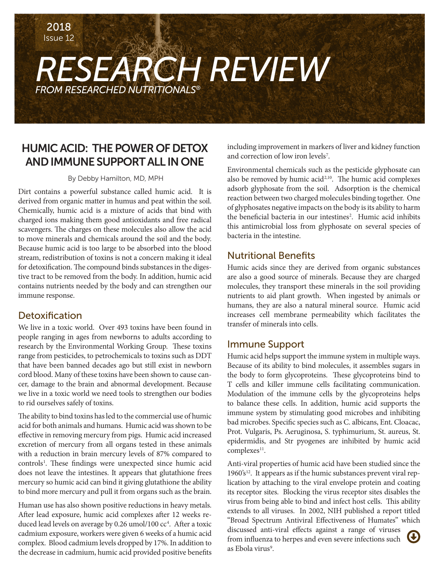2018 Issue 12

# *RESEARCH REVIEW FROM RESEARCHED NUTRITIONALS®*

## HUMIC ACID: THE POWER OF DETOX AND IMMUNE SUPPORT ALL IN ONE

#### By Debby Hamilton, MD, MPH

Dirt contains a powerful substance called humic acid. It is derived from organic matter in humus and peat within the soil. Chemically, humic acid is a mixture of acids that bind with charged ions making them good antioxidants and free radical scavengers. The charges on these molecules also allow the acid to move minerals and chemicals around the soil and the body. Because humic acid is too large to be absorbed into the blood stream, redistribution of toxins is not a concern making it ideal for detoxification. The compound binds substances in the digestive tract to be removed from the body. In addition, humic acid contains nutrients needed by the body and can strengthen our immune response.

### Detoxification

We live in a toxic world. Over 493 toxins have been found in people ranging in ages from newborns to adults according to research by the Environmental Working Group. These toxins range from pesticides, to petrochemicals to toxins such as DDT that have been banned decades ago but still exist in newborn cord blood. Many of these toxins have been shown to cause cancer, damage to the brain and abnormal development. Because we live in a toxic world we need tools to strengthen our bodies to rid ourselves safely of toxins.

The ability to bind toxins has led to the commercial use of humic acid for both animals and humans. Humic acid was shown to be effective in removing mercury from pigs. Humic acid increased excretion of mercury from all organs tested in these animals with a reduction in brain mercury levels of 87% compared to controls<sup>1</sup>. These findings were unexpected since humic acid does not leave the intestines. It appears that glutathione frees mercury so humic acid can bind it giving glutathione the ability to bind more mercury and pull it from organs such as the brain.

Human use has also shown positive reductions in heavy metals. After lead exposure, humic acid complexes after 12 weeks reduced lead levels on average by 0.26 umol/100 cc<sup>4</sup>. After a toxic cadmium exposure, workers were given 6 weeks of a humic acid complex. Blood cadmium levels dropped by 17%. In addition to the decrease in cadmium, humic acid provided positive benefits

including improvement in markers of liver and kidney function and correction of low iron levels<sup>7</sup>.

Environmental chemicals such as the pesticide glyphosate can also be removed by humic acid<sup>2,10</sup>. The humic acid complexes adsorb glyphosate from the soil. Adsorption is the chemical reaction between two charged molecules binding together. One of glyphosates negative impacts on the body is its ability to harm the beneficial bacteria in our intestines<sup>2</sup>. Humic acid inhibits this antimicrobial loss from glyphosate on several species of bacteria in the intestine.

### Nutritional Benefits

Humic acids since they are derived from organic substances are also a good source of minerals. Because they are charged molecules, they transport these minerals in the soil providing nutrients to aid plant growth. When ingested by animals or humans, they are also a natural mineral source. Humic acid increases cell membrane permeability which facilitates the transfer of minerals into cells.

### Immune Support

Humic acid helps support the immune system in multiple ways. Because of its ability to bind molecules, it assembles sugars in the body to form glycoproteins. These glycoproteins bind to T cells and killer immune cells facilitating communication. Modulation of the immune cells by the glycoproteins helps to balance these cells. In addition, humic acid supports the immune system by stimulating good microbes and inhibiting bad microbes. Specific species such as C. albicans, Ent. Cloacac, Prot. Vulgaris, Ps. Aeruginosa, S. typhimurium, St. aureus, St. epidermidis, and Str pyogenes are inhibited by humic acid complexes<sup>11</sup>.

Anti-viral properties of humic acid have been studied since the 1960's<sup>12</sup>. It appears as if the humic substances prevent viral replication by attaching to the viral envelope protein and coating its receptor sites. Blocking the virus receptor sites disables the virus from being able to bind and infect host cells. This ability extends to all viruses. In 2002, NIH published a report titled "Broad Spectrum Antiviral Effectiveness of Humates" which discussed anti-viral effects against a range of viruses from influenza to herpes and even severe infections such as Ebola virus<sup>9</sup>.